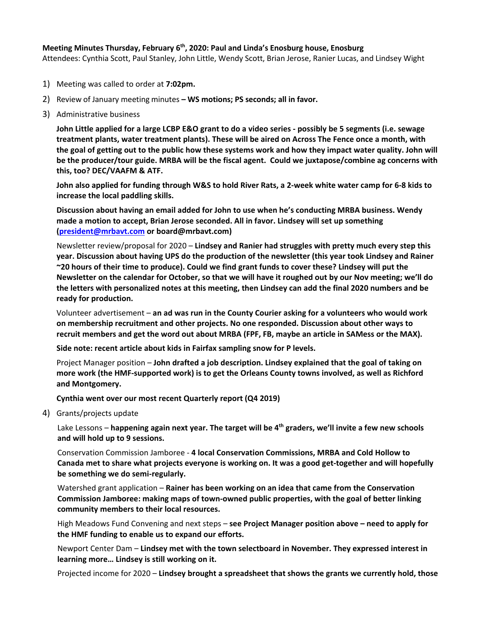## **Meeting Minutes Thursday, February 6th, 2020: Paul and Linda's Enosburg house, Enosburg**

Attendees: Cynthia Scott, Paul Stanley, John Little, Wendy Scott, Brian Jerose, Ranier Lucas, and Lindsey Wight

- 1) Meeting was called to order at **7:02pm.**
- 2) Review of January meeting minutes **– WS motions; PS seconds; all in favor.**
- 3) Administrative business

**John Little applied for a large LCBP E&O grant to do a video series - possibly be 5 segments (i.e. sewage treatment plants, water treatment plants). These will be aired on Across The Fence once a month, with the goal of getting out to the public how these systems work and how they impact water quality. John will be the producer/tour guide. MRBA will be the fiscal agent. Could we juxtapose/combine ag concerns with this, too? DEC/VAAFM & ATF.** 

**John also applied for funding through W&S to hold River Rats, a 2-week white water camp for 6-8 kids to increase the local paddling skills.** 

**Discussion about having an email added for John to use when he's conducting MRBA business. Wendy made a motion to accept, Brian Jerose seconded. All in favor. Lindsey will set up something [\(president@mrbavt.com](mailto:president@mrbavt.com) or board@mrbavt.com)**

Newsletter review/proposal for 2020 – **Lindsey and Ranier had struggles with pretty much every step this year. Discussion about having UPS do the production of the newsletter (this year took Lindsey and Rainer ~20 hours of their time to produce). Could we find grant funds to cover these? Lindsey will put the Newsletter on the calendar for October, so that we will have it roughed out by our Nov meeting; we'll do the letters with personalized notes at this meeting, then Lindsey can add the final 2020 numbers and be ready for production.**

Volunteer advertisement – **an ad was run in the County Courier asking for a volunteers who would work on membership recruitment and other projects. No one responded. Discussion about other ways to recruit members and get the word out about MRBA (FPF, FB, maybe an article in SAMess or the MAX).**

**Side note: recent article about kids in Fairfax sampling snow for P levels.**

Project Manager position – **John drafted a job description. Lindsey explained that the goal of taking on more work (the HMF-supported work) is to get the Orleans County towns involved, as well as Richford and Montgomery.** 

**Cynthia went over our most recent Quarterly report (Q4 2019)**

4) Grants/projects update

Lake Lessons – **happening again next year. The target will be 4th graders, we'll invite a few new schools and will hold up to 9 sessions.**

Conservation Commission Jamboree - **4 local Conservation Commissions, MRBA and Cold Hollow to Canada met to share what projects everyone is working on. It was a good get-together and will hopefully be something we do semi-regularly.**

Watershed grant application – **Rainer has been working on an idea that came from the Conservation Commission Jamboree: making maps of town-owned public properties, with the goal of better linking community members to their local resources.**

High Meadows Fund Convening and next steps – **see Project Manager position above – need to apply for the HMF funding to enable us to expand our efforts.**

Newport Center Dam – **Lindsey met with the town selectboard in November. They expressed interest in learning more… Lindsey is still working on it.**

Projected income for 2020 – **Lindsey brought a spreadsheet that shows the grants we currently hold, those**